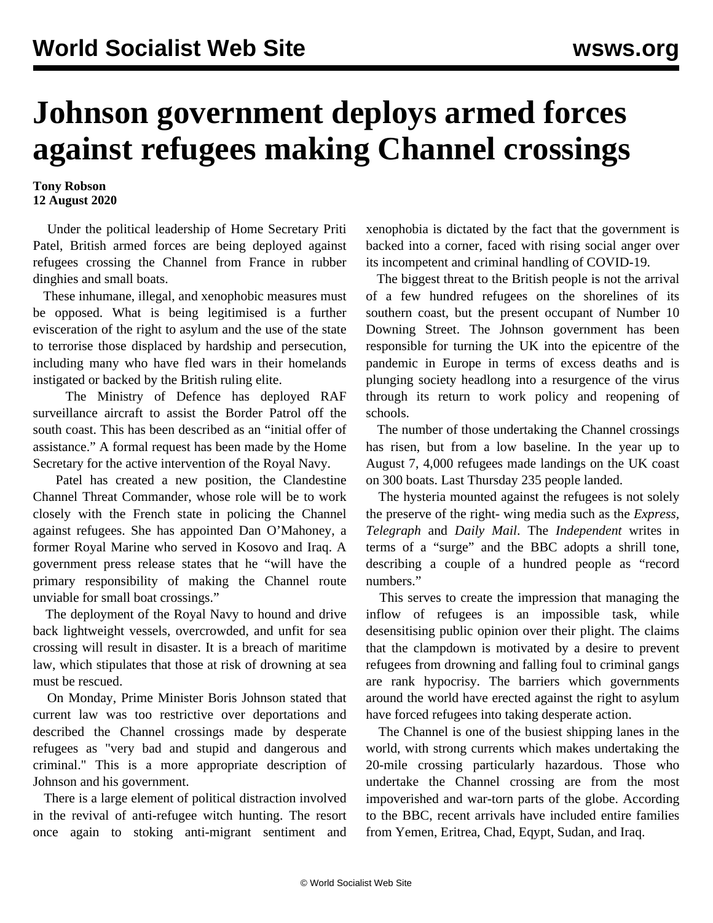## **Johnson government deploys armed forces against refugees making Channel crossings**

## **Tony Robson 12 August 2020**

 Under the political leadership of Home Secretary Priti Patel, British armed forces are being deployed against refugees crossing the Channel from France in rubber dinghies and small boats.

 These inhumane, illegal, and xenophobic measures must be opposed. What is being legitimised is a further evisceration of the right to asylum and the use of the state to terrorise those displaced by hardship and persecution, including many who have fled wars in their homelands instigated or backed by the British ruling elite.

 The Ministry of Defence has deployed RAF surveillance aircraft to assist the Border Patrol off the south coast. This has been described as an "initial offer of assistance." A formal request has been made by the Home Secretary for the active intervention of the Royal Navy.

 Patel has created a new position, the Clandestine Channel Threat Commander, whose role will be to work closely with the French state in policing the Channel against refugees. She has appointed Dan O'Mahoney, a former Royal Marine who served in Kosovo and Iraq. A government press release states that he "will have the primary responsibility of making the Channel route unviable for small boat crossings."

 The deployment of the Royal Navy to hound and drive back lightweight vessels, overcrowded, and unfit for sea crossing will result in disaster. It is a breach of maritime law, which stipulates that those at risk of drowning at sea must be rescued.

 On Monday, Prime Minister Boris Johnson stated that current law was too restrictive over deportations and described the Channel crossings made by desperate refugees as "very bad and stupid and dangerous and criminal." This is a more appropriate description of Johnson and his government.

 There is a large element of political distraction involved in the revival of anti-refugee witch hunting. The resort once again to stoking anti-migrant sentiment and xenophobia is dictated by the fact that the government is backed into a corner, faced with rising social anger over its incompetent and criminal handling of COVID-19.

 The biggest threat to the British people is not the arrival of a few hundred refugees on the shorelines of its southern coast, but the present occupant of Number 10 Downing Street. The Johnson government has been responsible for turning the UK into the epicentre of the pandemic in Europe in terms of excess deaths and is plunging society headlong into a resurgence of the virus through its return to work policy and reopening of schools.

 The number of those undertaking the Channel crossings has risen, but from a low baseline. In the year up to August 7, 4,000 refugees made landings on the UK coast on 300 boats. Last Thursday 235 people landed.

 The hysteria mounted against the refugees is not solely the preserve of the right- wing media such as the *Express, Telegraph* and *Daily Mail*. The *Independent* writes in terms of a "surge" and the BBC adopts a shrill tone, describing a couple of a hundred people as "record numbers."

 This serves to create the impression that managing the inflow of refugees is an impossible task, while desensitising public opinion over their plight. The claims that the clampdown is motivated by a desire to prevent refugees from drowning and falling foul to criminal gangs are rank hypocrisy. The barriers which governments around the world have erected against the right to asylum have forced refugees into taking desperate action.

 The Channel is one of the busiest shipping lanes in the world, with strong currents which makes undertaking the 20-mile crossing particularly hazardous. Those who undertake the Channel crossing are from the most impoverished and war-torn parts of the globe. According to the BBC, recent arrivals have included entire families from Yemen, Eritrea, Chad, Eqypt, Sudan, and Iraq.